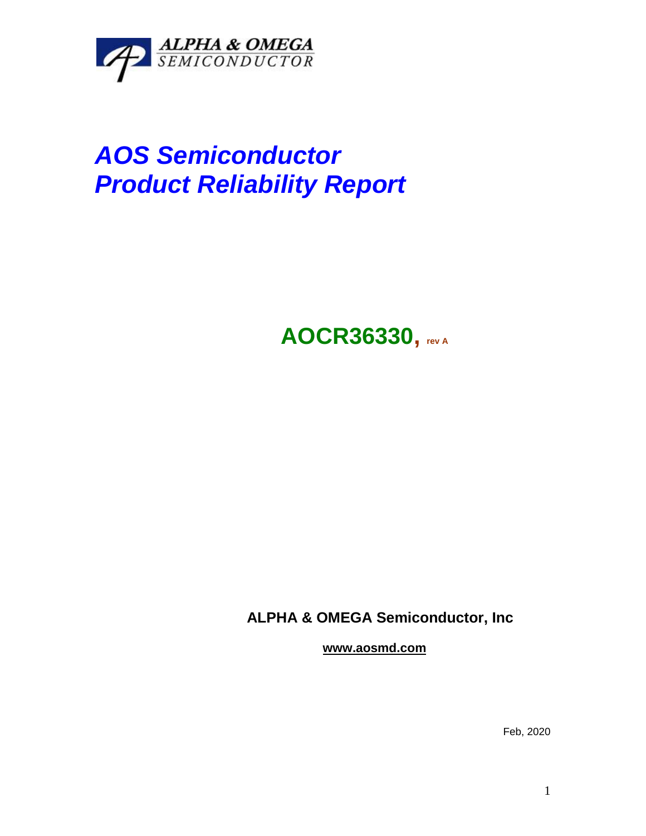

# *AOS Semiconductor Product Reliability Report*

## **AOCR36330, rev <sup>A</sup>**

### **ALPHA & OMEGA Semiconductor, Inc**

**www.aosmd.com**

Feb, 2020